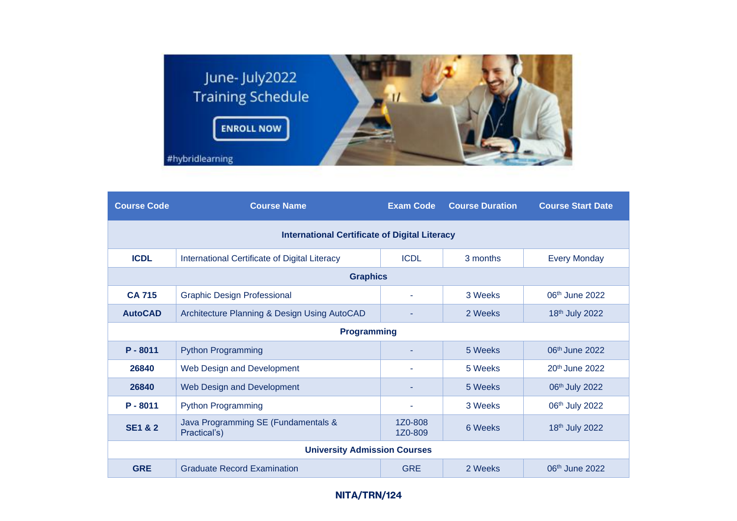

| <b>Course Code</b>                                   | <b>Course Name</b>                                  | <b>Exam Code</b>   | <b>Course Duration</b> | <b>Course Start Date</b>   |  |  |  |
|------------------------------------------------------|-----------------------------------------------------|--------------------|------------------------|----------------------------|--|--|--|
| <b>International Certificate of Digital Literacy</b> |                                                     |                    |                        |                            |  |  |  |
| <b>ICDL</b>                                          | International Certificate of Digital Literacy       | <b>ICDL</b>        | 3 months               | <b>Every Monday</b>        |  |  |  |
| <b>Graphics</b>                                      |                                                     |                    |                        |                            |  |  |  |
| <b>CA 715</b>                                        | <b>Graphic Design Professional</b>                  |                    | 3 Weeks                | $06th$ June 2022           |  |  |  |
| <b>AutoCAD</b>                                       | Architecture Planning & Design Using AutoCAD        |                    | 2 Weeks                | 18th July 2022             |  |  |  |
| <b>Programming</b>                                   |                                                     |                    |                        |                            |  |  |  |
| $P - 8011$                                           | <b>Python Programming</b>                           |                    | 5 Weeks                | 06 <sup>th</sup> June 2022 |  |  |  |
| 26840                                                | Web Design and Development                          | ٠                  | 5 Weeks                | 20 <sup>th</sup> June 2022 |  |  |  |
| 26840                                                | Web Design and Development                          |                    | 5 Weeks                | 06th July 2022             |  |  |  |
| $P - 8011$                                           | <b>Python Programming</b>                           |                    | 3 Weeks                | 06th July 2022             |  |  |  |
| <b>SE1 &amp; 2</b>                                   | Java Programming SE (Fundamentals &<br>Practical's) | 1Z0-808<br>1Z0-809 | 6 Weeks                | 18th July 2022             |  |  |  |
| <b>University Admission Courses</b>                  |                                                     |                    |                        |                            |  |  |  |
| <b>GRE</b>                                           | <b>Graduate Record Examination</b>                  | <b>GRE</b>         | 2 Weeks                | 06 <sup>th</sup> June 2022 |  |  |  |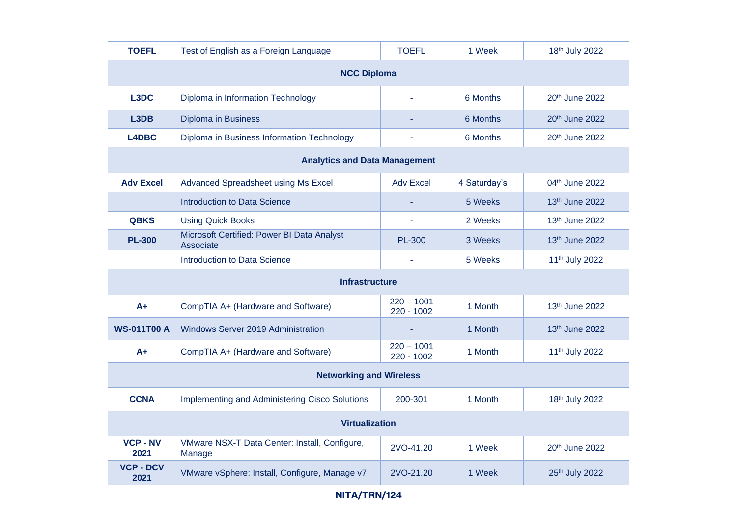| <b>TOEFL</b>                         | Test of English as a Foreign Language                   | <b>TOEFL</b>               | 1 Week       | 18th July 2022             |  |  |  |
|--------------------------------------|---------------------------------------------------------|----------------------------|--------------|----------------------------|--|--|--|
| <b>NCC Diploma</b>                   |                                                         |                            |              |                            |  |  |  |
| L3DC                                 | Diploma in Information Technology                       |                            | 6 Months     | 20th June 2022             |  |  |  |
| L <sub>3</sub> D <sub>B</sub>        | <b>Diploma in Business</b>                              |                            | 6 Months     | 20th June 2022             |  |  |  |
| L4DBC                                | Diploma in Business Information Technology              |                            | 6 Months     | 20th June 2022             |  |  |  |
| <b>Analytics and Data Management</b> |                                                         |                            |              |                            |  |  |  |
| <b>Adv Excel</b>                     | Advanced Spreadsheet using Ms Excel                     | <b>Adv Excel</b>           | 4 Saturday's | 04th June 2022             |  |  |  |
|                                      | <b>Introduction to Data Science</b>                     |                            | 5 Weeks      | 13th June 2022             |  |  |  |
| <b>QBKS</b>                          | <b>Using Quick Books</b>                                |                            | 2 Weeks      | 13th June 2022             |  |  |  |
| <b>PL-300</b>                        | Microsoft Certified: Power BI Data Analyst<br>Associate | <b>PL-300</b>              | 3 Weeks      | 13th June 2022             |  |  |  |
|                                      | <b>Introduction to Data Science</b>                     |                            | 5 Weeks      | 11 <sup>th</sup> July 2022 |  |  |  |
| <b>Infrastructure</b>                |                                                         |                            |              |                            |  |  |  |
| $A+$                                 | CompTIA A+ (Hardware and Software)                      | $220 - 1001$<br>220 - 1002 | 1 Month      | 13th June 2022             |  |  |  |
| <b>WS-011T00 A</b>                   | Windows Server 2019 Administration                      |                            | 1 Month      | 13th June 2022             |  |  |  |
| A+                                   | CompTIA A+ (Hardware and Software)                      | $220 - 1001$<br>220 - 1002 | 1 Month      | 11 <sup>th</sup> July 2022 |  |  |  |
| <b>Networking and Wireless</b>       |                                                         |                            |              |                            |  |  |  |
| <b>CCNA</b>                          | Implementing and Administering Cisco Solutions          | 200-301                    | 1 Month      | 18th July 2022             |  |  |  |
| <b>Virtualization</b>                |                                                         |                            |              |                            |  |  |  |
| <b>VCP - NV</b><br>2021              | VMware NSX-T Data Center: Install, Configure,<br>Manage | 2VO-41.20                  | 1 Week       | 20th June 2022             |  |  |  |
| <b>VCP - DCV</b><br>2021             | VMware vSphere: Install, Configure, Manage v7           | 2VO-21.20                  | 1 Week       | 25th July 2022             |  |  |  |

## **NITA/TRN/124**